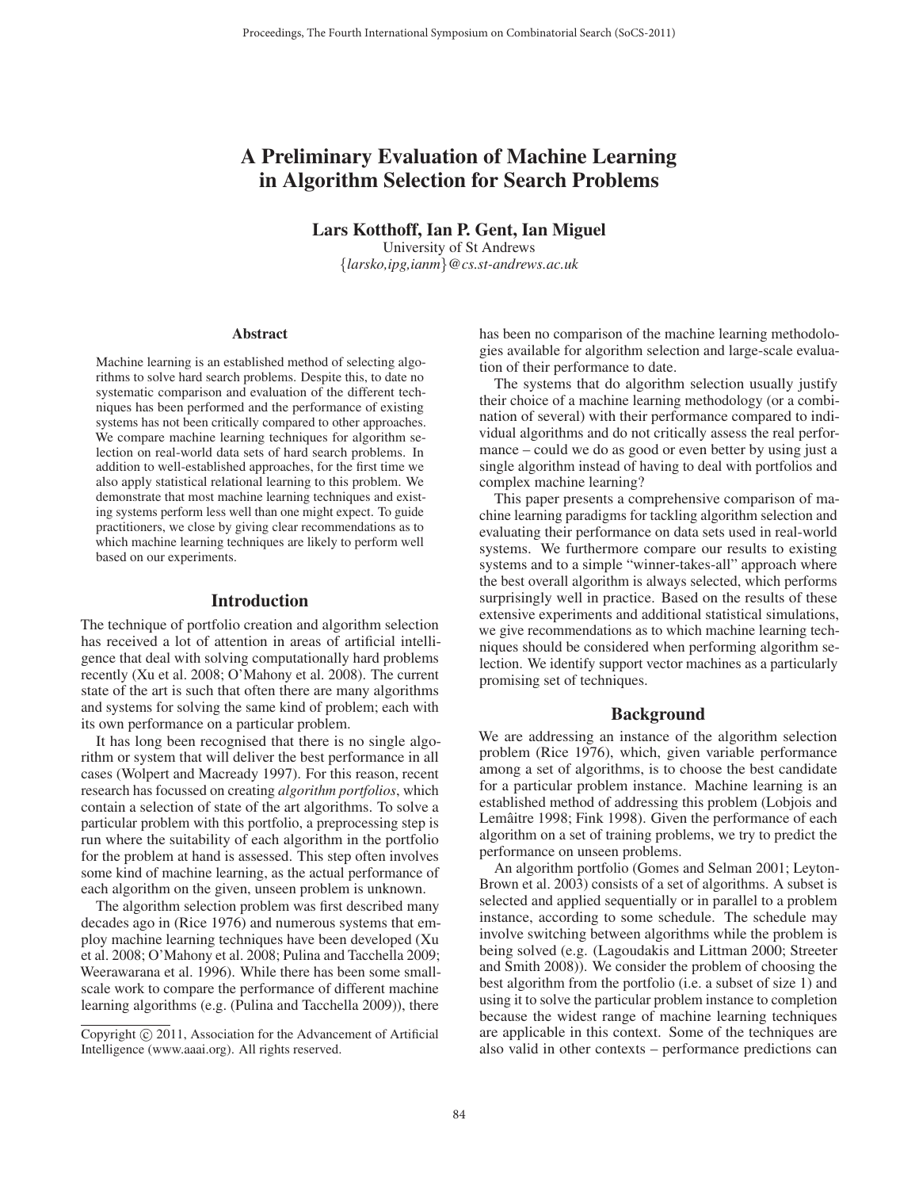# A Preliminary Evaluation of Machine Learning in Algorithm Selection for Search Problems

Lars Kotthoff, Ian P. Gent, Ian Miguel

University of St Andrews {*larsko,ipg,ianm*}*@cs.st-andrews.ac.uk*

#### **Abstract**

Machine learning is an established method of selecting algorithms to solve hard search problems. Despite this, to date no systematic comparison and evaluation of the different techniques has been performed and the performance of existing systems has not been critically compared to other approaches. We compare machine learning techniques for algorithm selection on real-world data sets of hard search problems. In addition to well-established approaches, for the first time we also apply statistical relational learning to this problem. We demonstrate that most machine learning techniques and existing systems perform less well than one might expect. To guide practitioners, we close by giving clear recommendations as to which machine learning techniques are likely to perform well based on our experiments.

#### Introduction

The technique of portfolio creation and algorithm selection has received a lot of attention in areas of artificial intelligence that deal with solving computationally hard problems recently (Xu et al. 2008; O'Mahony et al. 2008). The current state of the art is such that often there are many algorithms and systems for solving the same kind of problem; each with its own performance on a particular problem.

It has long been recognised that there is no single algorithm or system that will deliver the best performance in all cases (Wolpert and Macready 1997). For this reason, recent research has focussed on creating *algorithm portfolios*, which contain a selection of state of the art algorithms. To solve a particular problem with this portfolio, a preprocessing step is run where the suitability of each algorithm in the portfolio for the problem at hand is assessed. This step often involves some kind of machine learning, as the actual performance of each algorithm on the given, unseen problem is unknown.

The algorithm selection problem was first described many decades ago in (Rice 1976) and numerous systems that employ machine learning techniques have been developed (Xu et al. 2008; O'Mahony et al. 2008; Pulina and Tacchella 2009; Weerawarana et al. 1996). While there has been some smallscale work to compare the performance of different machine learning algorithms (e.g. (Pulina and Tacchella 2009)), there

has been no comparison of the machine learning methodologies available for algorithm selection and large-scale evaluation of their performance to date.

The systems that do algorithm selection usually justify their choice of a machine learning methodology (or a combination of several) with their performance compared to individual algorithms and do not critically assess the real performance – could we do as good or even better by using just a single algorithm instead of having to deal with portfolios and complex machine learning?

This paper presents a comprehensive comparison of machine learning paradigms for tackling algorithm selection and evaluating their performance on data sets used in real-world systems. We furthermore compare our results to existing systems and to a simple "winner-takes-all" approach where the best overall algorithm is always selected, which performs surprisingly well in practice. Based on the results of these extensive experiments and additional statistical simulations, we give recommendations as to which machine learning techniques should be considered when performing algorithm selection. We identify support vector machines as a particularly promising set of techniques.

# Background

We are addressing an instance of the algorithm selection problem (Rice 1976), which, given variable performance among a set of algorithms, is to choose the best candidate for a particular problem instance. Machine learning is an established method of addressing this problem (Lobjois and Lemâitre 1998; Fink 1998). Given the performance of each algorithm on a set of training problems, we try to predict the performance on unseen problems.

An algorithm portfolio (Gomes and Selman 2001; Leyton-Brown et al. 2003) consists of a set of algorithms. A subset is selected and applied sequentially or in parallel to a problem instance, according to some schedule. The schedule may involve switching between algorithms while the problem is being solved (e.g. (Lagoudakis and Littman 2000; Streeter and Smith 2008)). We consider the problem of choosing the best algorithm from the portfolio (i.e. a subset of size 1) and using it to solve the particular problem instance to completion because the widest range of machine learning techniques are applicable in this context. Some of the techniques are also valid in other contexts – performance predictions can

Copyright  $\odot$  2011, Association for the Advancement of Artificial Intelligence (www.aaai.org). All rights reserved.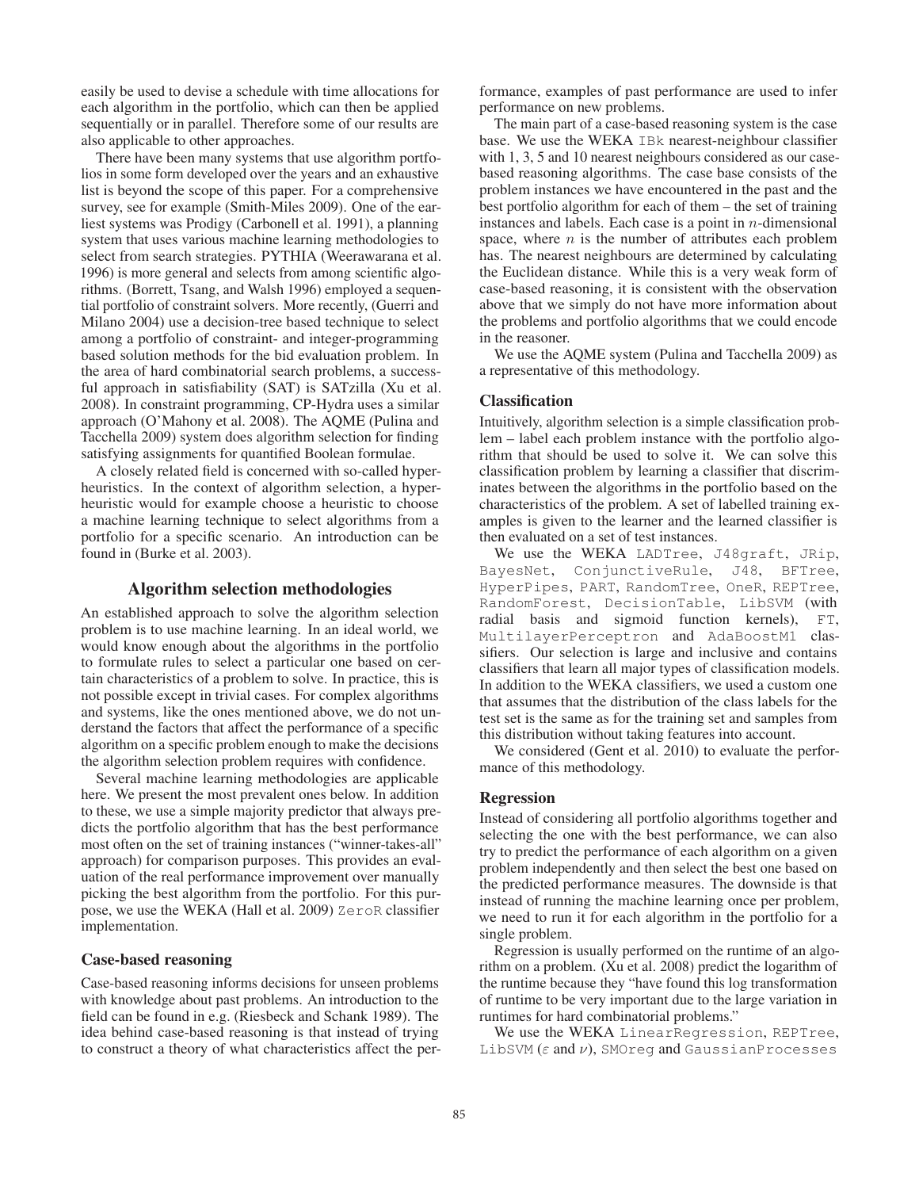easily be used to devise a schedule with time allocations for each algorithm in the portfolio, which can then be applied sequentially or in parallel. Therefore some of our results are also applicable to other approaches.

There have been many systems that use algorithm portfolios in some form developed over the years and an exhaustive list is beyond the scope of this paper. For a comprehensive survey, see for example (Smith-Miles 2009). One of the earliest systems was Prodigy (Carbonell et al. 1991), a planning system that uses various machine learning methodologies to select from search strategies. PYTHIA (Weerawarana et al. 1996) is more general and selects from among scientific algorithms. (Borrett, Tsang, and Walsh 1996) employed a sequential portfolio of constraint solvers. More recently, (Guerri and Milano 2004) use a decision-tree based technique to select among a portfolio of constraint- and integer-programming based solution methods for the bid evaluation problem. In the area of hard combinatorial search problems, a successful approach in satisfiability (SAT) is SATzilla (Xu et al. 2008). In constraint programming, CP-Hydra uses a similar approach (O'Mahony et al. 2008). The AQME (Pulina and Tacchella 2009) system does algorithm selection for finding satisfying assignments for quantified Boolean formulae.

A closely related field is concerned with so-called hyperheuristics. In the context of algorithm selection, a hyperheuristic would for example choose a heuristic to choose a machine learning technique to select algorithms from a portfolio for a specific scenario. An introduction can be found in (Burke et al. 2003).

# Algorithm selection methodologies

An established approach to solve the algorithm selection problem is to use machine learning. In an ideal world, we would know enough about the algorithms in the portfolio to formulate rules to select a particular one based on certain characteristics of a problem to solve. In practice, this is not possible except in trivial cases. For complex algorithms and systems, like the ones mentioned above, we do not understand the factors that affect the performance of a specific algorithm on a specific problem enough to make the decisions the algorithm selection problem requires with confidence.

Several machine learning methodologies are applicable here. We present the most prevalent ones below. In addition to these, we use a simple majority predictor that always predicts the portfolio algorithm that has the best performance most often on the set of training instances ("winner-takes-all" approach) for comparison purposes. This provides an evaluation of the real performance improvement over manually picking the best algorithm from the portfolio. For this purpose, we use the WEKA (Hall et al. 2009) ZeroR classifier implementation.

#### Case-based reasoning

Case-based reasoning informs decisions for unseen problems with knowledge about past problems. An introduction to the field can be found in e.g. (Riesbeck and Schank 1989). The idea behind case-based reasoning is that instead of trying to construct a theory of what characteristics affect the performance, examples of past performance are used to infer performance on new problems.

The main part of a case-based reasoning system is the case base. We use the WEKA IBk nearest-neighbour classifier with 1, 3, 5 and 10 nearest neighbours considered as our casebased reasoning algorithms. The case base consists of the problem instances we have encountered in the past and the best portfolio algorithm for each of them – the set of training instances and labels. Each case is a point in  $n$ -dimensional space, where  $n$  is the number of attributes each problem has. The nearest neighbours are determined by calculating the Euclidean distance. While this is a very weak form of case-based reasoning, it is consistent with the observation above that we simply do not have more information about the problems and portfolio algorithms that we could encode in the reasoner.

We use the AQME system (Pulina and Tacchella 2009) as a representative of this methodology.

#### **Classification**

Intuitively, algorithm selection is a simple classification problem – label each problem instance with the portfolio algorithm that should be used to solve it. We can solve this classification problem by learning a classifier that discriminates between the algorithms in the portfolio based on the characteristics of the problem. A set of labelled training examples is given to the learner and the learned classifier is then evaluated on a set of test instances.

We use the WEKA LADTree, J48graft, JRip, BayesNet, ConjunctiveRule, J48, BFTree, HyperPipes, PART, RandomTree, OneR, REPTree, RandomForest, DecisionTable, LibSVM (with radial basis and sigmoid function kernels), FT, MultilayerPerceptron and AdaBoostM1 classifiers. Our selection is large and inclusive and contains classifiers that learn all major types of classification models. In addition to the WEKA classifiers, we used a custom one that assumes that the distribution of the class labels for the test set is the same as for the training set and samples from this distribution without taking features into account.

We considered (Gent et al. 2010) to evaluate the performance of this methodology.

#### Regression

Instead of considering all portfolio algorithms together and selecting the one with the best performance, we can also try to predict the performance of each algorithm on a given problem independently and then select the best one based on the predicted performance measures. The downside is that instead of running the machine learning once per problem, we need to run it for each algorithm in the portfolio for a single problem.

Regression is usually performed on the runtime of an algorithm on a problem. (Xu et al. 2008) predict the logarithm of the runtime because they "have found this log transformation of runtime to be very important due to the large variation in runtimes for hard combinatorial problems."

We use the WEKA LinearRegression, REPTree, LibSVM ( $\varepsilon$  and  $\nu$ ), SMOreg and Gaussian Processes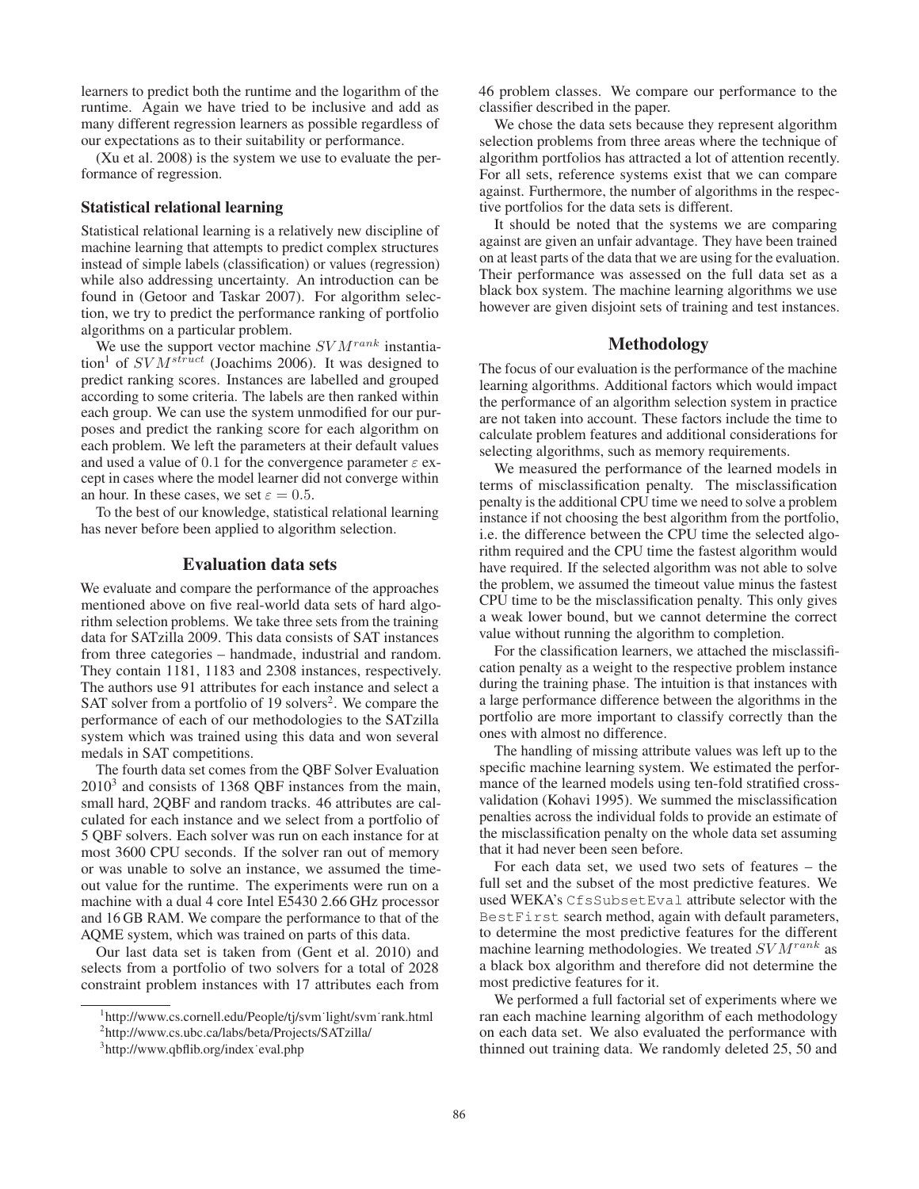learners to predict both the runtime and the logarithm of the runtime. Again we have tried to be inclusive and add as many different regression learners as possible regardless of our expectations as to their suitability or performance.

(Xu et al. 2008) is the system we use to evaluate the performance of regression.

# Statistical relational learning

Statistical relational learning is a relatively new discipline of machine learning that attempts to predict complex structures instead of simple labels (classification) or values (regression) while also addressing uncertainty. An introduction can be found in (Getoor and Taskar 2007). For algorithm selection, we try to predict the performance ranking of portfolio algorithms on a particular problem.

We use the support vector machine  $SVM^{rank}$  instantiation<sup>1</sup> of  $SVM<sup>strict</sup>$  (Joachims 2006). It was designed to predict ranking scores. Instances are labelled and grouped according to some criteria. The labels are then ranked within each group. We can use the system unmodified for our purposes and predict the ranking score for each algorithm on each problem. We left the parameters at their default values and used a value of 0.1 for the convergence parameter  $\varepsilon$  except in cases where the model learner did not converge within an hour. In these cases, we set  $\varepsilon = 0.5$ .

To the best of our knowledge, statistical relational learning has never before been applied to algorithm selection.

# Evaluation data sets

We evaluate and compare the performance of the approaches mentioned above on five real-world data sets of hard algorithm selection problems. We take three sets from the training data for SATzilla 2009. This data consists of SAT instances from three categories – handmade, industrial and random. They contain 1181, 1183 and 2308 instances, respectively. The authors use 91 attributes for each instance and select a SAT solver from a portfolio of 19 solvers<sup>2</sup>. We compare the performance of each of our methodologies to the SATzilla system which was trained using this data and won several medals in SAT competitions.

The fourth data set comes from the QBF Solver Evaluation 20103 and consists of 1368 QBF instances from the main, small hard, 2QBF and random tracks. 46 attributes are calculated for each instance and we select from a portfolio of 5 QBF solvers. Each solver was run on each instance for at most 3600 CPU seconds. If the solver ran out of memory or was unable to solve an instance, we assumed the timeout value for the runtime. The experiments were run on a machine with a dual 4 core Intel E5430 2.66 GHz processor and 16 GB RAM. We compare the performance to that of the AQME system, which was trained on parts of this data.

Our last data set is taken from (Gent et al. 2010) and selects from a portfolio of two solvers for a total of 2028 constraint problem instances with 17 attributes each from 46 problem classes. We compare our performance to the classifier described in the paper.

We chose the data sets because they represent algorithm selection problems from three areas where the technique of algorithm portfolios has attracted a lot of attention recently. For all sets, reference systems exist that we can compare against. Furthermore, the number of algorithms in the respective portfolios for the data sets is different.

It should be noted that the systems we are comparing against are given an unfair advantage. They have been trained on at least parts of the data that we are using for the evaluation. Their performance was assessed on the full data set as a black box system. The machine learning algorithms we use however are given disjoint sets of training and test instances.

# Methodology

The focus of our evaluation is the performance of the machine learning algorithms. Additional factors which would impact the performance of an algorithm selection system in practice are not taken into account. These factors include the time to calculate problem features and additional considerations for selecting algorithms, such as memory requirements.

We measured the performance of the learned models in terms of misclassification penalty. The misclassification penalty is the additional CPU time we need to solve a problem instance if not choosing the best algorithm from the portfolio, i.e. the difference between the CPU time the selected algorithm required and the CPU time the fastest algorithm would have required. If the selected algorithm was not able to solve the problem, we assumed the timeout value minus the fastest CPU time to be the misclassification penalty. This only gives a weak lower bound, but we cannot determine the correct value without running the algorithm to completion.

For the classification learners, we attached the misclassification penalty as a weight to the respective problem instance during the training phase. The intuition is that instances with a large performance difference between the algorithms in the portfolio are more important to classify correctly than the ones with almost no difference.

The handling of missing attribute values was left up to the specific machine learning system. We estimated the performance of the learned models using ten-fold stratified crossvalidation (Kohavi 1995). We summed the misclassification penalties across the individual folds to provide an estimate of the misclassification penalty on the whole data set assuming that it had never been seen before.

For each data set, we used two sets of features – the full set and the subset of the most predictive features. We used WEKA's CfsSubsetEval attribute selector with the BestFirst search method, again with default parameters, to determine the most predictive features for the different machine learning methodologies. We treated  $SVM^{rank}$  as a black box algorithm and therefore did not determine the most predictive features for it.

We performed a full factorial set of experiments where we ran each machine learning algorithm of each methodology on each data set. We also evaluated the performance with thinned out training data. We randomly deleted 25, 50 and

<sup>&</sup>lt;sup>1</sup>http://www.cs.cornell.edu/People/tj/svm<sup>·</sup>light/svm<sup>·</sup>rank.html

<sup>2</sup> http://www.cs.ubc.ca/labs/beta/Projects/SATzilla/

<sup>3</sup> http://www.qbflib.org/index˙eval.php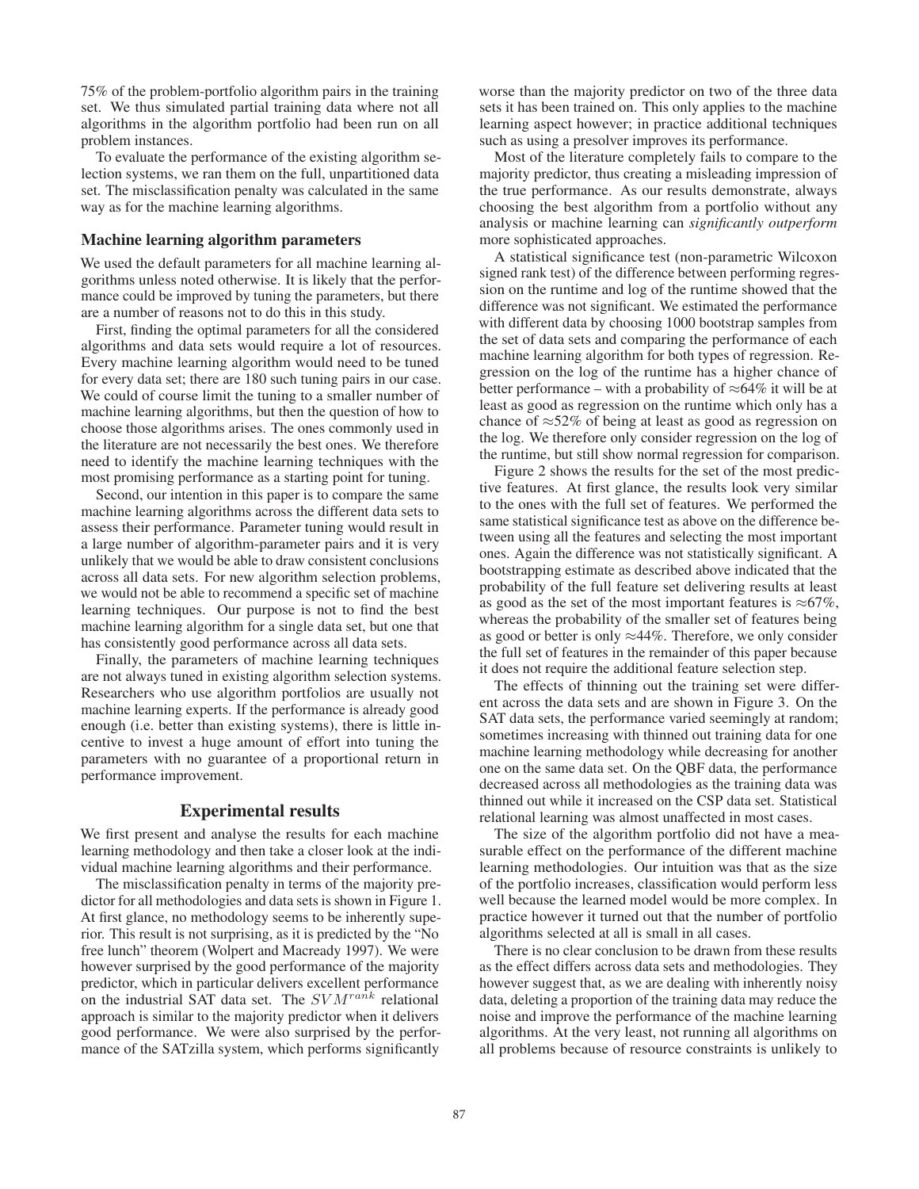75% of the problem-portfolio algorithm pairs in the training set. We thus simulated partial training data where not all algorithms in the algorithm portfolio had been run on all problem instances.

To evaluate the performance of the existing algorithm selection systems, we ran them on the full, unpartitioned data set. The misclassification penalty was calculated in the same way as for the machine learning algorithms.

#### Machine learning algorithm parameters

We used the default parameters for all machine learning algorithms unless noted otherwise. It is likely that the performance could be improved by tuning the parameters, but there are a number of reasons not to do this in this study.

First, finding the optimal parameters for all the considered algorithms and data sets would require a lot of resources. Every machine learning algorithm would need to be tuned for every data set; there are 180 such tuning pairs in our case. We could of course limit the tuning to a smaller number of machine learning algorithms, but then the question of how to choose those algorithms arises. The ones commonly used in the literature are not necessarily the best ones. We therefore need to identify the machine learning techniques with the most promising performance as a starting point for tuning.

Second, our intention in this paper is to compare the same machine learning algorithms across the different data sets to assess their performance. Parameter tuning would result in a large number of algorithm-parameter pairs and it is very unlikely that we would be able to draw consistent conclusions across all data sets. For new algorithm selection problems, we would not be able to recommend a specific set of machine learning techniques. Our purpose is not to find the best machine learning algorithm for a single data set, but one that has consistently good performance across all data sets.

Finally, the parameters of machine learning techniques are not always tuned in existing algorithm selection systems. Researchers who use algorithm portfolios are usually not machine learning experts. If the performance is already good enough (i.e. better than existing systems), there is little incentive to invest a huge amount of effort into tuning the parameters with no guarantee of a proportional return in performance improvement.

# Experimental results

We first present and analyse the results for each machine learning methodology and then take a closer look at the individual machine learning algorithms and their performance.

The misclassification penalty in terms of the majority predictor for all methodologies and data sets is shown in Figure 1. At first glance, no methodology seems to be inherently superior. This result is not surprising, as it is predicted by the "No free lunch" theorem (Wolpert and Macready 1997). We were however surprised by the good performance of the majority predictor, which in particular delivers excellent performance on the industrial SAT data set. The  $SVM^{rank}$  relational approach is similar to the majority predictor when it delivers good performance. We were also surprised by the performance of the SATzilla system, which performs significantly

worse than the majority predictor on two of the three data sets it has been trained on. This only applies to the machine learning aspect however; in practice additional techniques such as using a presolver improves its performance.

Most of the literature completely fails to compare to the majority predictor, thus creating a misleading impression of the true performance. As our results demonstrate, always choosing the best algorithm from a portfolio without any analysis or machine learning can *significantly outperform* more sophisticated approaches.

A statistical significance test (non-parametric Wilcoxon signed rank test) of the difference between performing regression on the runtime and log of the runtime showed that the difference was not significant. We estimated the performance with different data by choosing 1000 bootstrap samples from the set of data sets and comparing the performance of each machine learning algorithm for both types of regression. Regression on the log of the runtime has a higher chance of better performance – with a probability of  $\approx 64\%$  it will be at least as good as regression on the runtime which only has a chance of  $\approx$ 52% of being at least as good as regression on the log. We therefore only consider regression on the log of the runtime, but still show normal regression for comparison.

Figure 2 shows the results for the set of the most predictive features. At first glance, the results look very similar to the ones with the full set of features. We performed the same statistical significance test as above on the difference between using all the features and selecting the most important ones. Again the difference was not statistically significant. A bootstrapping estimate as described above indicated that the probability of the full feature set delivering results at least as good as the set of the most important features is  $\approx 67\%$ , whereas the probability of the smaller set of features being as good or better is only  $\approx$ 44%. Therefore, we only consider the full set of features in the remainder of this paper because it does not require the additional feature selection step.

The effects of thinning out the training set were different across the data sets and are shown in Figure 3. On the SAT data sets, the performance varied seemingly at random; sometimes increasing with thinned out training data for one machine learning methodology while decreasing for another one on the same data set. On the QBF data, the performance decreased across all methodologies as the training data was thinned out while it increased on the CSP data set. Statistical relational learning was almost unaffected in most cases.

The size of the algorithm portfolio did not have a measurable effect on the performance of the different machine learning methodologies. Our intuition was that as the size of the portfolio increases, classification would perform less well because the learned model would be more complex. In practice however it turned out that the number of portfolio algorithms selected at all is small in all cases.

There is no clear conclusion to be drawn from these results as the effect differs across data sets and methodologies. They however suggest that, as we are dealing with inherently noisy data, deleting a proportion of the training data may reduce the noise and improve the performance of the machine learning algorithms. At the very least, not running all algorithms on all problems because of resource constraints is unlikely to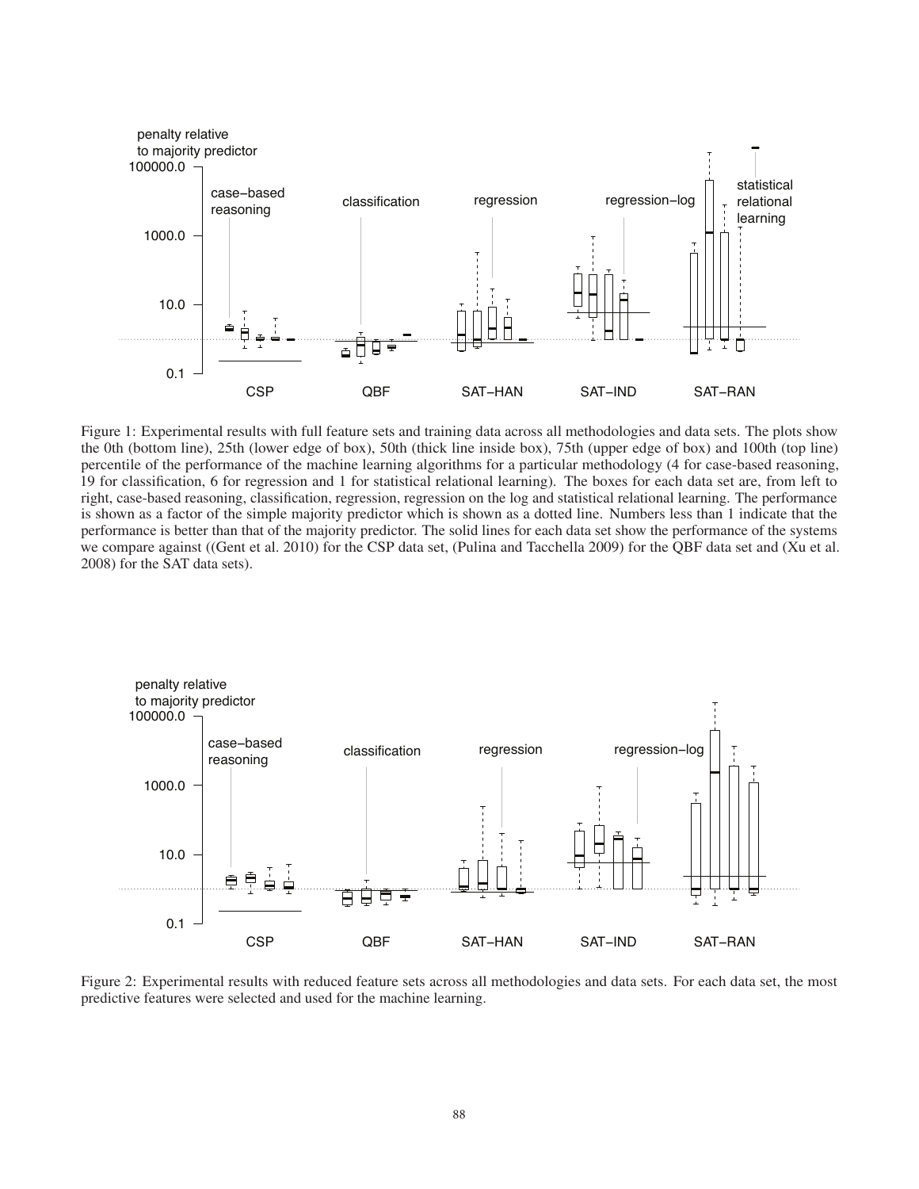

Figure 1: Experimental results with full feature sets and training data across all methodologies and data sets. The plots show the 0th (bottom line), 25th (lower edge of box), 50th (thick line inside box), 75th (upper edge of box) and 100th (top line) percentile of the performance of the machine learning algorithms for a particular methodology (4 for case-based reasoning, 19 for classification, 6 for regression and 1 for statistical relational learning). The boxes for each data set are, from left to right, case-based reasoning, classification, regression, regression on the log and statistical relational learning. The performance is shown as a factor of the simple majority predictor which is shown as a dotted line. Numbers less than 1 indicate that the performance is better than that of the majority predictor. The solid lines for each data set show the performance of the systems we compare against ((Gent et al. 2010) for the CSP data set, (Pulina and Tacchella 2009) for the QBF data set and (Xu et al. 2008) for the SAT data sets).



Figure 2: Experimental results with reduced feature sets across all methodologies and data sets. For each data set, the most predictive features were selected and used for the machine learning.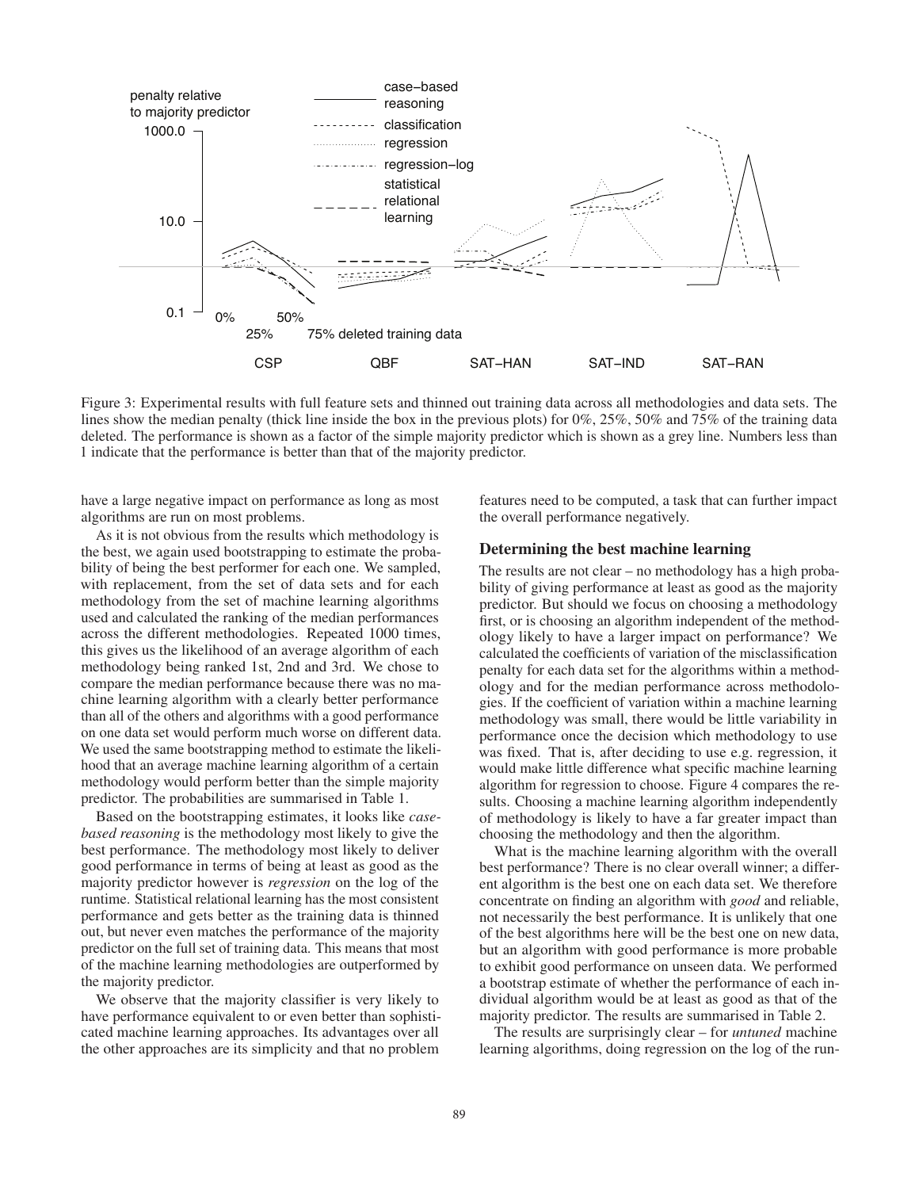

Figure 3: Experimental results with full feature sets and thinned out training data across all methodologies and data sets. The lines show the median penalty (thick line inside the box in the previous plots) for 0%, 25%, 50% and 75% of the training data deleted. The performance is shown as a factor of the simple majority predictor which is shown as a grey line. Numbers less than 1 indicate that the performance is better than that of the majority predictor.

have a large negative impact on performance as long as most algorithms are run on most problems.

As it is not obvious from the results which methodology is the best, we again used bootstrapping to estimate the probability of being the best performer for each one. We sampled, with replacement, from the set of data sets and for each methodology from the set of machine learning algorithms used and calculated the ranking of the median performances across the different methodologies. Repeated 1000 times, this gives us the likelihood of an average algorithm of each methodology being ranked 1st, 2nd and 3rd. We chose to compare the median performance because there was no machine learning algorithm with a clearly better performance than all of the others and algorithms with a good performance on one data set would perform much worse on different data. We used the same bootstrapping method to estimate the likelihood that an average machine learning algorithm of a certain methodology would perform better than the simple majority predictor. The probabilities are summarised in Table 1.

Based on the bootstrapping estimates, it looks like *casebased reasoning* is the methodology most likely to give the best performance. The methodology most likely to deliver good performance in terms of being at least as good as the majority predictor however is *regression* on the log of the runtime. Statistical relational learning has the most consistent performance and gets better as the training data is thinned out, but never even matches the performance of the majority predictor on the full set of training data. This means that most of the machine learning methodologies are outperformed by the majority predictor.

We observe that the majority classifier is very likely to have performance equivalent to or even better than sophisticated machine learning approaches. Its advantages over all the other approaches are its simplicity and that no problem features need to be computed, a task that can further impact the overall performance negatively.

#### Determining the best machine learning

The results are not clear – no methodology has a high probability of giving performance at least as good as the majority predictor. But should we focus on choosing a methodology first, or is choosing an algorithm independent of the methodology likely to have a larger impact on performance? We calculated the coefficients of variation of the misclassification penalty for each data set for the algorithms within a methodology and for the median performance across methodologies. If the coefficient of variation within a machine learning methodology was small, there would be little variability in performance once the decision which methodology to use was fixed. That is, after deciding to use e.g. regression, it would make little difference what specific machine learning algorithm for regression to choose. Figure 4 compares the results. Choosing a machine learning algorithm independently of methodology is likely to have a far greater impact than choosing the methodology and then the algorithm.

What is the machine learning algorithm with the overall best performance? There is no clear overall winner; a different algorithm is the best one on each data set. We therefore concentrate on finding an algorithm with *good* and reliable, not necessarily the best performance. It is unlikely that one of the best algorithms here will be the best one on new data, but an algorithm with good performance is more probable to exhibit good performance on unseen data. We performed a bootstrap estimate of whether the performance of each individual algorithm would be at least as good as that of the majority predictor. The results are summarised in Table 2.

The results are surprisingly clear – for *untuned* machine learning algorithms, doing regression on the log of the run-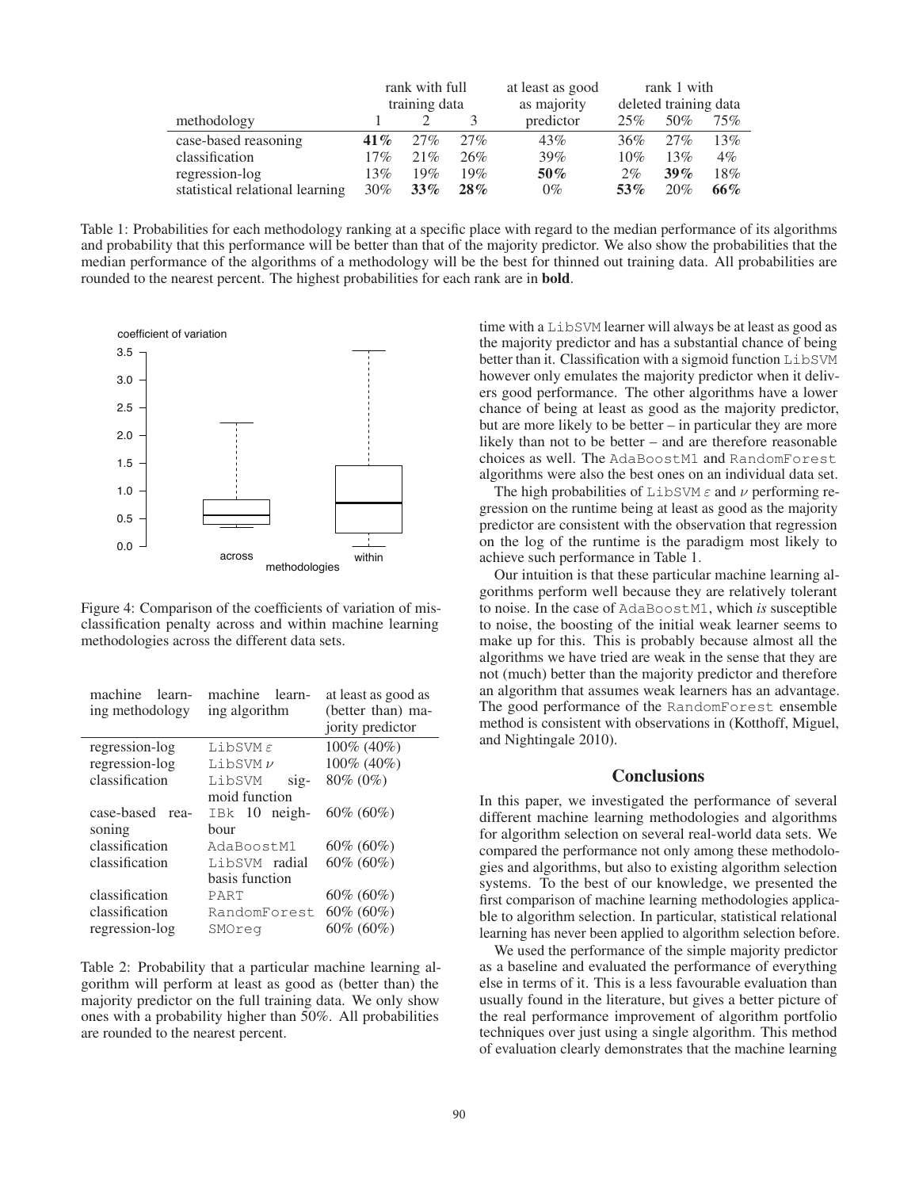|                                 | rank with full |        |        | at least as good |                       | rank 1 with |       |
|---------------------------------|----------------|--------|--------|------------------|-----------------------|-------------|-------|
|                                 | training data  |        |        | as majority      | deleted training data |             |       |
| methodology                     |                |        |        | predictor        | 25%                   | 50%         | 75%   |
| case-based reasoning            | 41%            | 27%    | 27%    | 43%              | 36%                   | 27%         | 13%   |
| classification                  | 17%            | 21%    | 26%    | 39%              | 10%                   | 13%         | $4\%$ |
| regression-log                  | 13%            | 19%    | 19%    | $50\%$           | $2\%$                 | $39\%$      | 18%   |
| statistical relational learning | 30%            | $33\%$ | $28\%$ | $0\%$            | $53\%$                | 20%         | 66%   |

Table 1: Probabilities for each methodology ranking at a specific place with regard to the median performance of its algorithms and probability that this performance will be better than that of the majority predictor. We also show the probabilities that the median performance of the algorithms of a methodology will be the best for thinned out training data. All probabilities are rounded to the nearest percent. The highest probabilities for each rank are in bold.



Figure 4: Comparison of the coefficients of variation of misclassification penalty across and within machine learning methodologies across the different data sets.

| machine<br>learn-<br>ing methodology | machine<br>learn-<br>ing algorithm  | at least as good as<br>(better than) ma-<br>jority predictor |  |  |
|--------------------------------------|-------------------------------------|--------------------------------------------------------------|--|--|
| regression-log                       | LibSVM $\varepsilon$                | 100% (40%)                                                   |  |  |
| regression-log                       | LibSVM $\nu$                        | $100\%$ (40%)                                                |  |  |
| classification                       | LibSVM<br>$\overline{\text{sig}}$ - | 80\% (0\%)                                                   |  |  |
|                                      | moid function                       |                                                              |  |  |
| case-based<br>rea-                   | $IBk$ 10 neigh-                     | $60\%$ (60%)                                                 |  |  |
| soning                               | bour                                |                                                              |  |  |
| classification                       | AdaBoostM1                          | $60\%~(60\%)$                                                |  |  |
| classification                       | LibSVM radial                       | $60\%~(60\%)$                                                |  |  |
|                                      | basis function                      |                                                              |  |  |
| classification                       | PART                                | $60\% (60\%)$                                                |  |  |
| classification                       | RandomForest                        | $60\% (60\%)$                                                |  |  |
| regression-log                       | SMOreg                              | 60% (60%)                                                    |  |  |

Table 2: Probability that a particular machine learning algorithm will perform at least as good as (better than) the majority predictor on the full training data. We only show ones with a probability higher than 50%. All probabilities are rounded to the nearest percent.

time with a LibSVM learner will always be at least as good as the majority predictor and has a substantial chance of being better than it. Classification with a sigmoid function LibSVM however only emulates the majority predictor when it delivers good performance. The other algorithms have a lower chance of being at least as good as the majority predictor, but are more likely to be better – in particular they are more likely than not to be better – and are therefore reasonable choices as well. The AdaBoostM1 and RandomForest algorithms were also the best ones on an individual data set.

The high probabilities of LibSVM  $\varepsilon$  and  $\nu$  performing regression on the runtime being at least as good as the majority predictor are consistent with the observation that regression on the log of the runtime is the paradigm most likely to achieve such performance in Table 1.

Our intuition is that these particular machine learning algorithms perform well because they are relatively tolerant to noise. In the case of AdaBoostM1, which *is* susceptible to noise, the boosting of the initial weak learner seems to make up for this. This is probably because almost all the algorithms we have tried are weak in the sense that they are not (much) better than the majority predictor and therefore an algorithm that assumes weak learners has an advantage. The good performance of the RandomForest ensemble method is consistent with observations in (Kotthoff, Miguel, and Nightingale 2010).

# **Conclusions**

In this paper, we investigated the performance of several different machine learning methodologies and algorithms for algorithm selection on several real-world data sets. We compared the performance not only among these methodologies and algorithms, but also to existing algorithm selection systems. To the best of our knowledge, we presented the first comparison of machine learning methodologies applicable to algorithm selection. In particular, statistical relational learning has never been applied to algorithm selection before.

We used the performance of the simple majority predictor as a baseline and evaluated the performance of everything else in terms of it. This is a less favourable evaluation than usually found in the literature, but gives a better picture of the real performance improvement of algorithm portfolio techniques over just using a single algorithm. This method of evaluation clearly demonstrates that the machine learning